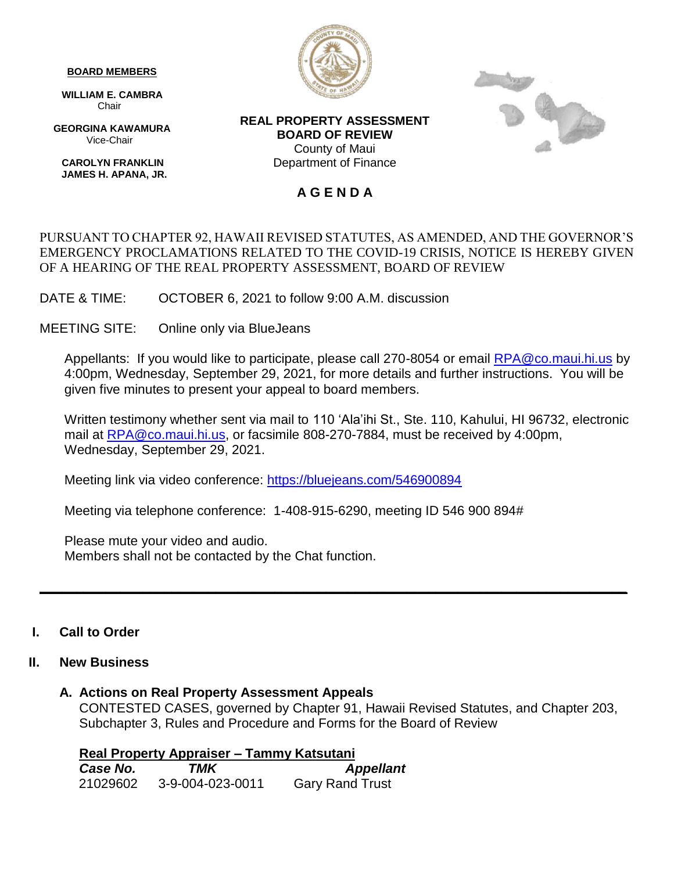#### **BOARD MEMBERS**

 **WILLIAM E. CAMBRA** Chair

 **GEORGINA KAWAMURA** Vice-Chair

 **CAROLYN FRANKLIN JAMES H. APANA, JR.**



**REAL PROPERTY ASSESSMENT BOARD OF REVIEW** County of Maui Department of Finance



### **A G E N D A**

# PURSUANT TO CHAPTER 92, HAWAII REVISED STATUTES, AS AMENDED, AND THE GOVERNOR'S EMERGENCY PROCLAMATIONS RELATED TO THE COVID-19 CRISIS, NOTICE IS HEREBY GIVEN OF A HEARING OF THE REAL PROPERTY ASSESSMENT, BOARD OF REVIEW

DATE & TIME: OCTOBER 6, 2021 to follow 9:00 A.M. discussion

MEETING SITE: Online only via BlueJeans

Appellants: If you would like to participate, please call 270-8054 or email [RPA@co.maui.hi.us](mailto:RPA@co.maui.hi.us) by 4:00pm, Wednesday, September 29, 2021, for more details and further instructions. You will be given five minutes to present your appeal to board members.

Written testimony whether sent via mail to 110 'Ala'ihi St., Ste. 110, Kahului, HI 96732, electronic mail at [RPA@co.maui.hi.us,](mailto:RPA@co.maui.hi.us) or facsimile 808-270-7884, must be received by 4:00pm, Wednesday, September 29, 2021.

Meeting link via video conference: <https://bluejeans.com/546900894>

Meeting via telephone conference: 1-408-915-6290, meeting ID 546 900 894#

Please mute your video and audio. Members shall not be contacted by the Chat function.

# **I. Call to Order**

# **II. New Business**

# **A. Actions on Real Property Assessment Appeals**

CONTESTED CASES, governed by Chapter 91, Hawaii Revised Statutes, and Chapter 203, Subchapter 3, Rules and Procedure and Forms for the Board of Review

**\_\_\_\_\_\_\_\_\_\_\_\_\_\_\_\_\_\_\_\_\_\_\_\_\_\_\_\_\_\_\_\_\_\_\_\_\_\_\_\_\_\_\_\_\_\_\_\_\_\_\_\_\_\_\_\_\_\_\_\_\_\_\_\_\_\_\_\_\_\_\_\_\_\_\_\_\_\_\_\_**

**Real Property Appraiser – Tammy Katsutani** *Case No. TMK Appellant* 21029602 3-9-004-023-0011 Gary Rand Trust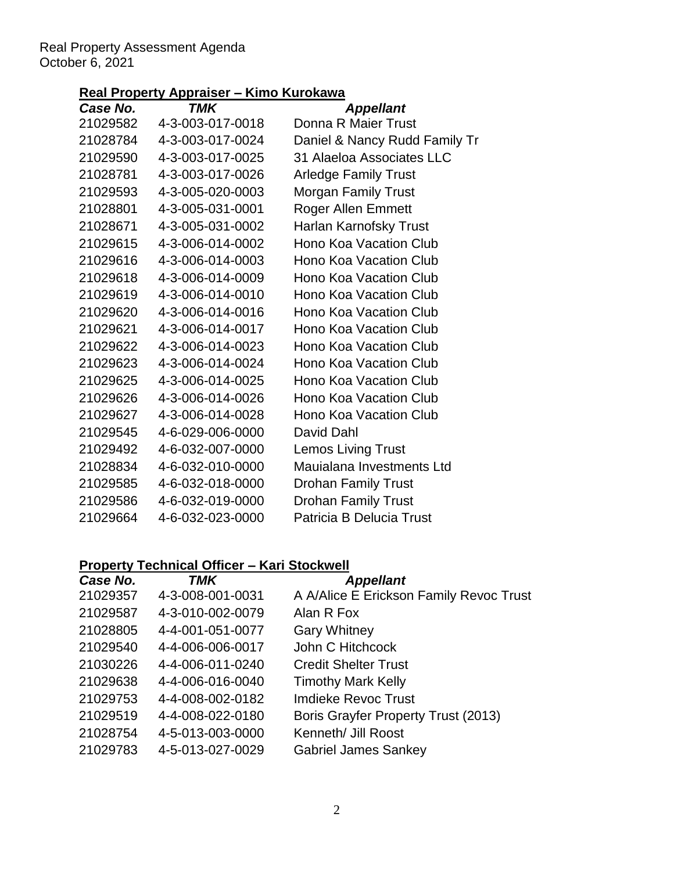# Real Property Assessment Agenda October 6, 2021

# **Real Property Appraiser – Kimo Kurokawa**

| . .              | .                             |
|------------------|-------------------------------|
| <b>TMK</b>       | <b>Appellant</b>              |
| 4-3-003-017-0018 | Donna R Maier Trust           |
| 4-3-003-017-0024 | Daniel & Nancy Rudd Family Tr |
| 4-3-003-017-0025 | 31 Alaeloa Associates LLC     |
| 4-3-003-017-0026 | <b>Arledge Family Trust</b>   |
| 4-3-005-020-0003 | <b>Morgan Family Trust</b>    |
| 4-3-005-031-0001 | <b>Roger Allen Emmett</b>     |
| 4-3-005-031-0002 | Harlan Karnofsky Trust        |
| 4-3-006-014-0002 | <b>Hono Koa Vacation Club</b> |
| 4-3-006-014-0003 | <b>Hono Koa Vacation Club</b> |
| 4-3-006-014-0009 | <b>Hono Koa Vacation Club</b> |
| 4-3-006-014-0010 | <b>Hono Koa Vacation Club</b> |
| 4-3-006-014-0016 | Hono Koa Vacation Club        |
| 4-3-006-014-0017 | <b>Hono Koa Vacation Club</b> |
| 4-3-006-014-0023 | Hono Koa Vacation Club        |
| 4-3-006-014-0024 | <b>Hono Koa Vacation Club</b> |
| 4-3-006-014-0025 | <b>Hono Koa Vacation Club</b> |
| 4-3-006-014-0026 | <b>Hono Koa Vacation Club</b> |
| 4-3-006-014-0028 | <b>Hono Koa Vacation Club</b> |
| 4-6-029-006-0000 | David Dahl                    |
| 4-6-032-007-0000 | <b>Lemos Living Trust</b>     |
| 4-6-032-010-0000 | Mauialana Investments Ltd     |
| 4-6-032-018-0000 | <b>Drohan Family Trust</b>    |
| 4-6-032-019-0000 | <b>Drohan Family Trust</b>    |
| 4-6-032-023-0000 | Patricia B Delucia Trust      |
|                  |                               |

# **Property Technical Officer – Kari Stockwell**

| Case No. | <b>TMK</b>       | <b>Appellant</b>                           |
|----------|------------------|--------------------------------------------|
| 21029357 | 4-3-008-001-0031 | A A/Alice E Erickson Family Revoc Trust    |
| 21029587 | 4-3-010-002-0079 | Alan R Fox                                 |
| 21028805 | 4-4-001-051-0077 | <b>Gary Whitney</b>                        |
| 21029540 | 4-4-006-006-0017 | John C Hitchcock                           |
| 21030226 | 4-4-006-011-0240 | <b>Credit Shelter Trust</b>                |
| 21029638 | 4-4-006-016-0040 | <b>Timothy Mark Kelly</b>                  |
| 21029753 | 4-4-008-002-0182 | Imdieke Revoc Trust                        |
| 21029519 | 4-4-008-022-0180 | <b>Boris Grayfer Property Trust (2013)</b> |
| 21028754 | 4-5-013-003-0000 | Kenneth/ Jill Roost                        |
| 21029783 | 4-5-013-027-0029 | <b>Gabriel James Sankey</b>                |
|          |                  |                                            |